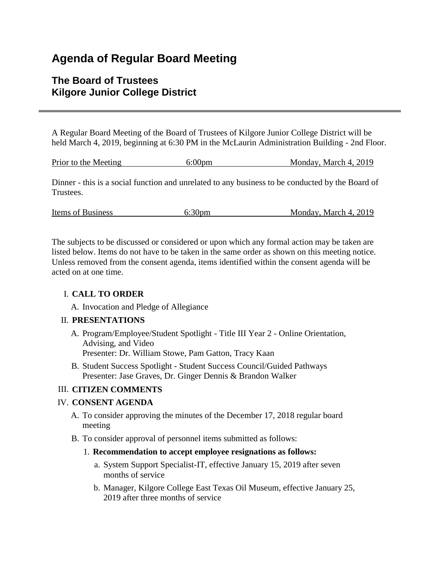# **Agenda of Regular Board Meeting**

# **The Board of Trustees Kilgore Junior College District**

A Regular Board Meeting of the Board of Trustees of Kilgore Junior College District will be held March 4, 2019, beginning at 6:30 PM in the McLaurin Administration Building - 2nd Floor.

|  | Prior to the Meeting | 6:00 <sub>pm</sub> | Monday, March 4, 2019 |
|--|----------------------|--------------------|-----------------------|
|--|----------------------|--------------------|-----------------------|

Dinner - this is a social function and unrelated to any business to be conducted by the Board of Trustees.

| 6:30 <sub>pm</sub><br>Items of Business | Monday, March 4, 2019 |  |
|-----------------------------------------|-----------------------|--|
|-----------------------------------------|-----------------------|--|

The subjects to be discussed or considered or upon which any formal action may be taken are listed below. Items do not have to be taken in the same order as shown on this meeting notice. Unless removed from the consent agenda, items identified within the consent agenda will be acted on at one time.

# I. **CALL TO ORDER**

A. Invocation and Pledge of Allegiance

# II. **PRESENTATIONS**

- A. Program/Employee/Student Spotlight Title III Year 2 Online Orientation, Advising, and Video Presenter: Dr. William Stowe, Pam Gatton, Tracy Kaan
- B. Student Success Spotlight Student Success Council/Guided Pathways Presenter: Jase Graves, Dr. Ginger Dennis & Brandon Walker

# III. **CITIZEN COMMENTS**

# IV. **CONSENT AGENDA**

- A. To consider approving the minutes of the December 17, 2018 regular board meeting
- B. To consider approval of personnel items submitted as follows:

#### 1. **Recommendation to accept employee resignations as follows:**

- a. System Support Specialist-IT, effective January 15, 2019 after seven months of service
- b. Manager, Kilgore College East Texas Oil Museum, effective January 25, 2019 after three months of service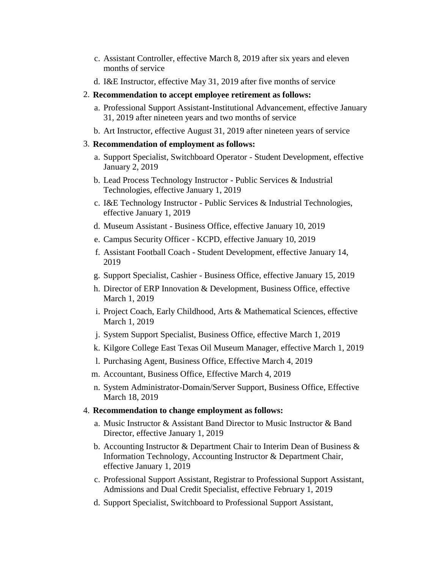- c. Assistant Controller, effective March 8, 2019 after six years and eleven months of service
- d. I&E Instructor, effective May 31, 2019 after five months of service

#### 2. **Recommendation to accept employee retirement as follows:**

- a. Professional Support Assistant-Institutional Advancement, effective January 31, 2019 after nineteen years and two months of service
- b. Art Instructor, effective August 31, 2019 after nineteen years of service

#### 3. **Recommendation of employment as follows:**

- a. Support Specialist, Switchboard Operator Student Development, effective January 2, 2019
- b. Lead Process Technology Instructor Public Services & Industrial Technologies, effective January 1, 2019
- c. I&E Technology Instructor Public Services & Industrial Technologies, effective January 1, 2019
- d. Museum Assistant Business Office, effective January 10, 2019
- e. Campus Security Officer KCPD, effective January 10, 2019
- f. Assistant Football Coach Student Development, effective January 14, 2019
- g. Support Specialist, Cashier Business Office, effective January 15, 2019
- h. Director of ERP Innovation & Development, Business Office, effective March 1, 2019
- i. Project Coach, Early Childhood, Arts & Mathematical Sciences, effective March 1, 2019
- j. System Support Specialist, Business Office, effective March 1, 2019
- k. Kilgore College East Texas Oil Museum Manager, effective March 1, 2019
- l. Purchasing Agent, Business Office, Effective March 4, 2019
- m. Accountant, Business Office, Effective March 4, 2019
- n. System Administrator-Domain/Server Support, Business Office, Effective March 18, 2019

#### 4. **Recommendation to change employment as follows:**

- a. Music Instructor & Assistant Band Director to Music Instructor & Band Director, effective January 1, 2019
- b. Accounting Instructor & Department Chair to Interim Dean of Business & Information Technology, Accounting Instructor & Department Chair, effective January 1, 2019
- c. Professional Support Assistant, Registrar to Professional Support Assistant, Admissions and Dual Credit Specialist, effective February 1, 2019
- d. Support Specialist, Switchboard to Professional Support Assistant,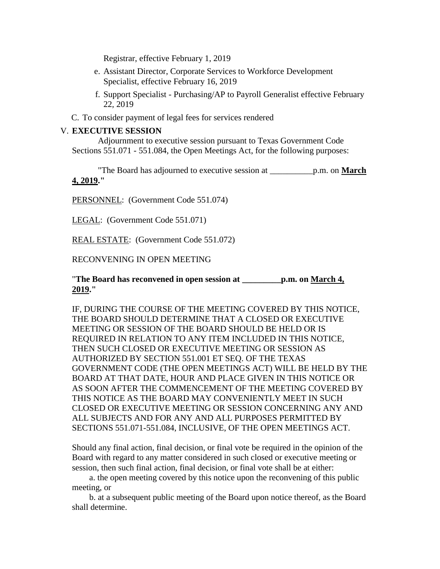Registrar, effective February 1, 2019

- e. Assistant Director, Corporate Services to Workforce Development Specialist, effective February 16, 2019
- f. Support Specialist Purchasing/AP to Payroll Generalist effective February 22, 2019
- C. To consider payment of legal fees for services rendered

#### V. **EXECUTIVE SESSION**

 Adjournment to executive session pursuant to Texas Government Code Sections 551.071 - 551.084, the Open Meetings Act, for the following purposes:

 "The Board has adjourned to executive session at \_\_\_\_\_\_\_\_\_\_p.m. on **March 4, 2019."**

PERSONNEL: (Government Code 551.074)

LEGAL: (Government Code 551.071)

REAL ESTATE: (Government Code 551.072)

RECONVENING IN OPEN MEETING

#### "**The Board has reconvened in open session at \_\_\_\_\_\_\_\_\_p.m. on March 4, 2019."**

IF, DURING THE COURSE OF THE MEETING COVERED BY THIS NOTICE, THE BOARD SHOULD DETERMINE THAT A CLOSED OR EXECUTIVE MEETING OR SESSION OF THE BOARD SHOULD BE HELD OR IS REQUIRED IN RELATION TO ANY ITEM INCLUDED IN THIS NOTICE, THEN SUCH CLOSED OR EXECUTIVE MEETING OR SESSION AS AUTHORIZED BY SECTION 551.001 ET SEQ. OF THE TEXAS GOVERNMENT CODE (THE OPEN MEETINGS ACT) WILL BE HELD BY THE BOARD AT THAT DATE, HOUR AND PLACE GIVEN IN THIS NOTICE OR AS SOON AFTER THE COMMENCEMENT OF THE MEETING COVERED BY THIS NOTICE AS THE BOARD MAY CONVENIENTLY MEET IN SUCH CLOSED OR EXECUTIVE MEETING OR SESSION CONCERNING ANY AND ALL SUBJECTS AND FOR ANY AND ALL PURPOSES PERMITTED BY SECTIONS 551.071-551.084, INCLUSIVE, OF THE OPEN MEETINGS ACT.

Should any final action, final decision, or final vote be required in the opinion of the Board with regard to any matter considered in such closed or executive meeting or session, then such final action, final decision, or final vote shall be at either:

 a. the open meeting covered by this notice upon the reconvening of this public meeting, or

 b. at a subsequent public meeting of the Board upon notice thereof, as the Board shall determine.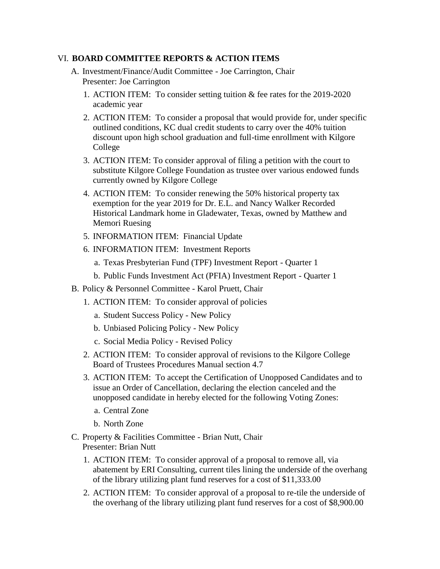#### VI. **BOARD COMMITTEE REPORTS & ACTION ITEMS**

- A. Investment/Finance/Audit Committee Joe Carrington, Chair Presenter: Joe Carrington
	- 1. ACTION ITEM: To consider setting tuition & fee rates for the 2019-2020 academic year
	- 2. ACTION ITEM: To consider a proposal that would provide for, under specific outlined conditions, KC dual credit students to carry over the 40% tuition discount upon high school graduation and full-time enrollment with Kilgore College
	- 3. ACTION ITEM: To consider approval of filing a petition with the court to substitute Kilgore College Foundation as trustee over various endowed funds currently owned by Kilgore College
	- 4. ACTION ITEM: To consider renewing the 50% historical property tax exemption for the year 2019 for Dr. E.L. and Nancy Walker Recorded Historical Landmark home in Gladewater, Texas, owned by Matthew and Memori Ruesing
	- 5. INFORMATION ITEM: Financial Update
	- 6. INFORMATION ITEM: Investment Reports
		- a. Texas Presbyterian Fund (TPF) Investment Report Quarter 1
		- b. Public Funds Investment Act (PFIA) Investment Report Quarter 1
- B. Policy & Personnel Committee Karol Pruett, Chair
	- 1. ACTION ITEM: To consider approval of policies
		- a. Student Success Policy New Policy
		- b. Unbiased Policing Policy New Policy
		- c. Social Media Policy Revised Policy
	- 2. ACTION ITEM: To consider approval of revisions to the Kilgore College Board of Trustees Procedures Manual section 4.7
	- 3. ACTION ITEM: To accept the Certification of Unopposed Candidates and to issue an Order of Cancellation, declaring the election canceled and the unopposed candidate in hereby elected for the following Voting Zones:
		- a. Central Zone
		- b. North Zone
- C. Property & Facilities Committee Brian Nutt, Chair Presenter: Brian Nutt
	- 1. ACTION ITEM: To consider approval of a proposal to remove all, via abatement by ERI Consulting, current tiles lining the underside of the overhang of the library utilizing plant fund reserves for a cost of \$11,333.00
	- 2. ACTION ITEM: To consider approval of a proposal to re-tile the underside of the overhang of the library utilizing plant fund reserves for a cost of \$8,900.00